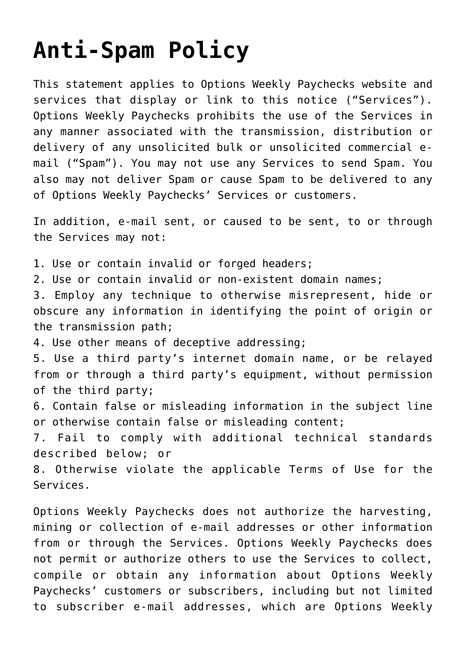## **[Anti-Spam Policy](https://optionsweeklypaychecks.com/contact/anti-spam-policy/)**

This statement applies to Options Weekly Paychecks website and services that display or link to this notice ("Services"). Options Weekly Paychecks prohibits the use of the Services in any manner associated with the transmission, distribution or delivery of any unsolicited bulk or unsolicited commercial email ("Spam"). You may not use any Services to send Spam. You also may not deliver Spam or cause Spam to be delivered to any of Options Weekly Paychecks' Services or customers.

In addition, e-mail sent, or caused to be sent, to or through the Services may not:

1. Use or contain invalid or forged headers;

2. Use or contain invalid or non-existent domain names;

3. Employ any technique to otherwise misrepresent, hide or obscure any information in identifying the point of origin or the transmission path;

4. Use other means of deceptive addressing;

5. Use a third party's internet domain name, or be relayed from or through a third party's equipment, without permission of the third party;

6. Contain false or misleading information in the subject line or otherwise contain false or misleading content;

7. Fail to comply with additional technical standards described below; or

8. Otherwise violate the applicable Terms of Use for the Services.

Options Weekly Paychecks does not authorize the harvesting, mining or collection of e-mail addresses or other information from or through the Services. Options Weekly Paychecks does not permit or authorize others to use the Services to collect, compile or obtain any information about Options Weekly Paychecks' customers or subscribers, including but not limited to subscriber e-mail addresses, which are Options Weekly